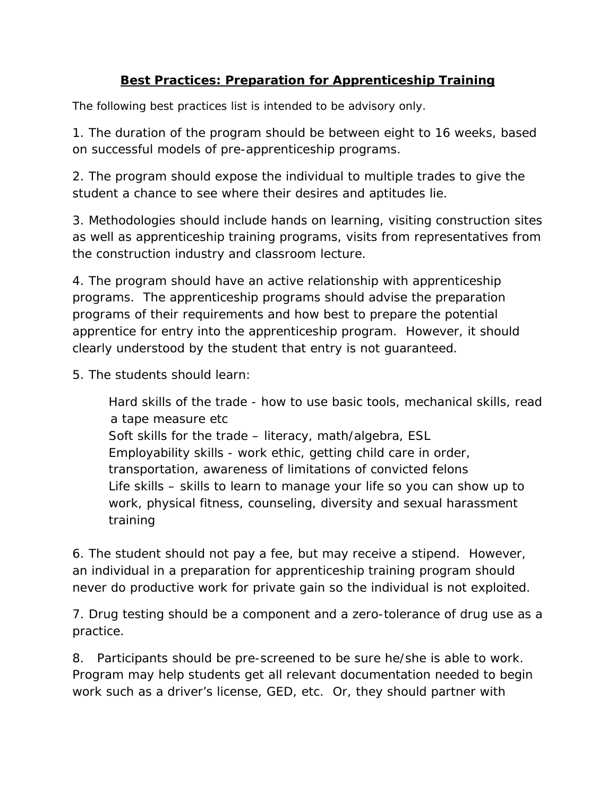## **Best Practices: Preparation for Apprenticeship Training**

The following best practices list is intended to be advisory only.

1. The duration of the program should be between eight to 16 weeks, based on successful models of pre-apprenticeship programs.

2. The program should expose the individual to multiple trades to give the student a chance to see where their desires and aptitudes lie.

3. Methodologies should include hands on learning, visiting construction sites as well as apprenticeship training programs, visits from representatives from the construction industry and classroom lecture.

4. The program should have an active relationship with apprenticeship programs. The apprenticeship programs should advise the preparation programs of their requirements and how best to prepare the potential apprentice for entry into the apprenticeship program. However, it should clearly understood by the student that entry is not guaranteed.

5. The students should learn:

 Hard skills of the trade - how to use basic tools, mechanical skills, read a tape measure etc Soft skills for the trade – literacy, math/algebra, ESL Employability skills - work ethic, getting child care in order, transportation, awareness of limitations of convicted felons Life skills – skills to learn to manage your life so you can show up to work, physical fitness, counseling, diversity and sexual harassment training

6. The student should not pay a fee, but may receive a stipend. However, an individual in a preparation for apprenticeship training program should never do productive work for private gain so the individual is not exploited.

7. Drug testing should be a component and a zero-tolerance of drug use as a practice.

8. Participants should be pre-screened to be sure he/she is able to work. Program may help students get all relevant documentation needed to begin work such as a driver's license, GED, etc. Or, they should partner with